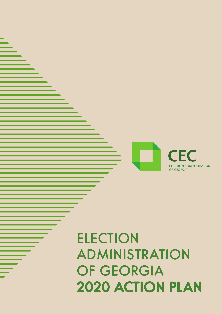## **ELECTION** ADMINISTRATION OF GEORGIA 2020 ACTION PLAN

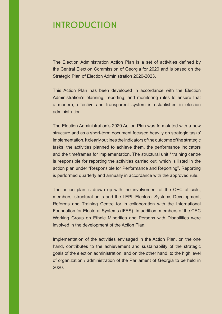## INTRODUCTION

The Election Administration Action Plan is a set of activities defined by the Central Election Commission of Georgia for 2020 and is based on the Strategic Plan of Election Administration 2020-2023.

This Action Plan has been developed in accordance with the Election Administration's planning, reporting, and monitoring rules to ensure that a modern, effective and transparent system is established in election administration.

The Election Administration's 2020 Action Plan was formulated with a new structure and as a short-term document focused heavily on strategic tasks' implementation. It clearly outlines the indicators of the outcome of the strategic tasks, the activities planned to achieve them, the performance indicators and the timeframes for implementation. The structural unit / training centre is responsible for reporting the activities carried out, which is listed in the action plan under "Responsible for Performance and Reporting". Reporting is performed quarterly and annually in accordance with the approved rule.

The action plan is drawn up with the involvement of the CEC officials, members, structural units and the LEPL Electoral Systems Development, Reforms and Training Centre for in collaboration with the International Foundation for Electoral Systems (IFES). In addition, members of the CEC Working Group on Ethnic Minorities and Persons with Disabilities were involved in the development of the Action Plan.

Implementation of the activities envisaged in the Action Plan, on the one hand, contributes to the achievement and sustainability of the strategic goals of the election administration, and on the other hand, to the high level of organization / administration of the Parliament of Georgia to be held in 2020.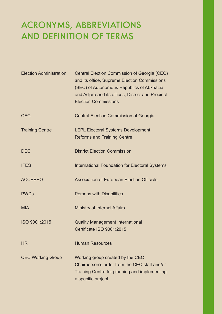## ACRONYMS, ABBREVIATIONS AND DEFINITION OF TERMS

| <b>Election Administration</b> | Central Election Commission of Georgia (CEC)<br>and its office, Supreme Election Commissions<br>(SEC) of Autonomous Republics of Abkhazia<br>and Adjara and its offices, District and Precinct<br><b>Election Commissions</b> |
|--------------------------------|-------------------------------------------------------------------------------------------------------------------------------------------------------------------------------------------------------------------------------|
| <b>CEC</b>                     | <b>Central Election Commission of Georgia</b>                                                                                                                                                                                 |
| <b>Training Centre</b>         | <b>LEPL Electoral Systems Development,</b><br><b>Reforms and Training Centre</b>                                                                                                                                              |
| <b>DEC</b>                     | <b>District Election Commission</b>                                                                                                                                                                                           |
| <b>IFES</b>                    | <b>International Foundation for Electoral Systems</b>                                                                                                                                                                         |
| <b>ACCEEEO</b>                 | <b>Association of European Election Officials</b>                                                                                                                                                                             |
| <b>PWDs</b>                    | <b>Persons with Disabilities</b>                                                                                                                                                                                              |
| <b>MIA</b>                     | <b>Ministry of Internal Affairs</b>                                                                                                                                                                                           |
| ISO 9001:2015                  | <b>Quality Management International</b><br>Certificate ISO 9001:2015                                                                                                                                                          |
| <b>HR</b>                      | <b>Human Resources</b>                                                                                                                                                                                                        |
| <b>CEC Working Group</b>       | Working group created by the CEC<br>Chairperson's order from the CEC staff and/or<br>Training Centre for planning and implementing<br>a specific project                                                                      |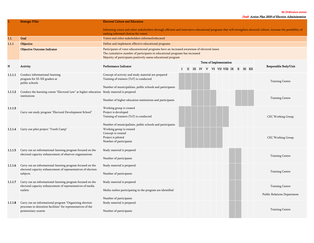**№ Ordinance annex**

Draft Action Plan 2020 of Election Administration

|         | <b>Strategic Pillar</b>                                                                                                                         | <b>Electoral Culture and Education</b>                                                                                                                                                                                                         |  |  |  |                        |                                       |  |  |                                                       |
|---------|-------------------------------------------------------------------------------------------------------------------------------------------------|------------------------------------------------------------------------------------------------------------------------------------------------------------------------------------------------------------------------------------------------|--|--|--|------------------------|---------------------------------------|--|--|-------------------------------------------------------|
|         |                                                                                                                                                 | Informing voters and other stakeholders through efficient and innovative educational programs that will strengthen electoral culture, increase the possibility of<br>making informed choices for voters                                        |  |  |  |                        |                                       |  |  |                                                       |
| 1.1.    | Goal                                                                                                                                            | Voters and other stakeholders informed/educated                                                                                                                                                                                                |  |  |  |                        |                                       |  |  |                                                       |
| 1.1.1   | Objective                                                                                                                                       | Define and implement effective educational programs                                                                                                                                                                                            |  |  |  |                        |                                       |  |  |                                                       |
|         | <b>Objective Outcome Indicator</b>                                                                                                              | Participants of voter educationional programs have an increased awareness of electoral issues<br>The cumulative number of participants in educational programs has increased<br>Majority of participants positively assess educational program |  |  |  |                        |                                       |  |  |                                                       |
|         |                                                                                                                                                 |                                                                                                                                                                                                                                                |  |  |  | Term of Implementation |                                       |  |  |                                                       |
| N       | Activity                                                                                                                                        | Performance Indicator                                                                                                                                                                                                                          |  |  |  |                        | I II III IV V VI VII VIII IX X XI XII |  |  | Responsible Body/Unit                                 |
| 1.1.1.1 | Conduct informational-learning<br>program for XI-XII graders at<br>public schools                                                               | Concept of activity and study material are prepared<br>Training of trainers (ToT) is conducted<br>Number of municipalities, public schools and participants                                                                                    |  |  |  |                        |                                       |  |  | <b>Training Centre</b>                                |
| 1.1.1.2 | Conduct the learning course "Electoral Law" at higher education Study material is prepared<br>institutions                                      | Number of higher education institutions and participants                                                                                                                                                                                       |  |  |  |                        |                                       |  |  | <b>Training Centre</b>                                |
| 1.1.1.3 | Carry out study program "Electoral Development School"                                                                                          | Working group is created<br>Project is developed<br>Training of trainers (ToT) is conducted<br>Number of municipalities, public schools and participants                                                                                       |  |  |  |                        |                                       |  |  | <b>CEC Working Group</b>                              |
| 1.1.1.4 | Carry out pilot project "Youth Camp"                                                                                                            | Working group is created<br>Concept is created<br>Project is piloted<br>Number of participants                                                                                                                                                 |  |  |  |                        |                                       |  |  | <b>CEC Working Group</b>                              |
| 1.1.1.5 | Carry out an informational-learning program focused on the<br>electoral capacity enhancement of observer organizations                          | Study material is prepared<br>Number of participants                                                                                                                                                                                           |  |  |  |                        |                                       |  |  | <b>Training Centre</b>                                |
| 1.1.1.6 | Carry out an informational-learning program focused on the<br>electoral capacity enhancement of representatives of election<br>subjects         | Study material is prepared<br>Number of participants                                                                                                                                                                                           |  |  |  |                        |                                       |  |  | <b>Training Centre</b>                                |
| 1.1.1.7 | Carry out an informational-learning program focused on the<br>electoral capacity enhancement of representatives of media<br>outlets             | Study material is prepared<br>Media outlets participating in the program are identified<br>Number of participants                                                                                                                              |  |  |  |                        |                                       |  |  | <b>Training Centre</b><br>Public Relations Department |
| 1.1.1.8 | Carry out an informational program "Organizing election<br>processes in detention facilities" for representatives of the<br>penitentiary system | Study material is prepared<br>Number of participants                                                                                                                                                                                           |  |  |  |                        |                                       |  |  | <b>Training Centre</b>                                |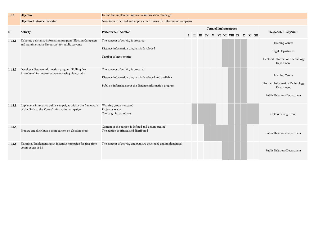| 1.1.2     | <b>Objective</b>                                                                                                 | Define and implement innovative information campaign                                                                                                        |       |  |  |                                                                   |  |  |                                                                                                         |
|-----------|------------------------------------------------------------------------------------------------------------------|-------------------------------------------------------------------------------------------------------------------------------------------------------------|-------|--|--|-------------------------------------------------------------------|--|--|---------------------------------------------------------------------------------------------------------|
|           | <b>Objective Outcome Indicator</b>                                                                               | Novelties are defined and implemented during the information campaign                                                                                       |       |  |  |                                                                   |  |  |                                                                                                         |
| ${\bf N}$ | Activity                                                                                                         | Performance Indicator                                                                                                                                       | $\Pi$ |  |  | <b>Term of Implementation</b><br>III IV V VI VII VIII IX X XI XII |  |  | Responsible Body/Unit                                                                                   |
| 1.1.2.1   | Elaborate a distance information program "Election Campaign<br>and Administrative Resources" for public servants | The concept of activity is prepared<br>Distance information program is developed<br>Number of state entities                                                |       |  |  |                                                                   |  |  | <b>Training Centre</b><br>Legal Department<br>Electoral Information Technology<br>Department            |
| 1.1.2.2   | Develop a distance information program "Polling Day<br>Procedures" for interested persons using video/audio      | The concept of activity is prepared<br>Distance information program is developed and available<br>Public is informed about the distance information program |       |  |  |                                                                   |  |  | <b>Training Centre</b><br>Electoral Information Technology<br>Department<br>Public Relations Department |
| 1.1.2.3   | Implement innovative public campaigns within the framework<br>of the "Talk to the Voters" information campaign   | Working group is created<br>Project is ready<br>Campaign is carried out                                                                                     |       |  |  |                                                                   |  |  | <b>CEC Working Group</b>                                                                                |
| 1.1.2.4   | Prepare and distribute a print edition on election issues                                                        | Content of the edition is defined and design created<br>The edition is printed and distributed                                                              |       |  |  |                                                                   |  |  | Public Relations Department                                                                             |
| 1.1.2.5   | Planning / Implementing an incentive campaign for first-time<br>voters at age of 18                              | The concept of activity and plan are developed and implemented                                                                                              |       |  |  |                                                                   |  |  | Public Relations Department                                                                             |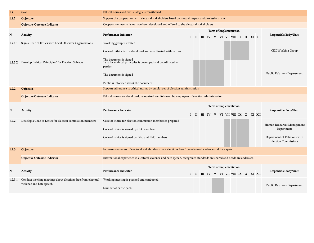| 1.2.    | Goal                                                     | Ethical norms and civil dialogue strengthened                                                                                                                          |  |  |  |  |                                                                 |                                       |  |                                                                                                         |
|---------|----------------------------------------------------------|------------------------------------------------------------------------------------------------------------------------------------------------------------------------|--|--|--|--|-----------------------------------------------------------------|---------------------------------------|--|---------------------------------------------------------------------------------------------------------|
| 1.2.1   | <b>Objective</b>                                         | Support the cooperation with electoral stakeholders based on mutual respect and professionalism                                                                        |  |  |  |  |                                                                 |                                       |  |                                                                                                         |
|         | <b>Objective Outcome Indicator</b>                       | Cooperation mechanisms have been developed and offered to the electoral stakeholders                                                                                   |  |  |  |  |                                                                 |                                       |  |                                                                                                         |
| N       | Activity                                                 | Performance Indicator                                                                                                                                                  |  |  |  |  | Term of Implementation<br>I II III IV V VI VII VIII IX X XI XII |                                       |  | Responsible Body/Unit                                                                                   |
| 1.2.1.1 | Sign a Code of Ethics with Local Observer Organizations  | Working group is created<br>Code of Ethics text is developed and coordinated with parties                                                                              |  |  |  |  |                                                                 |                                       |  | <b>CEC Working Group</b>                                                                                |
| 1.2.1.2 | Develop "Ethical Principles" for Election Subjects       | The document is signed<br>Text for ethhical principles is developed and coordinated with<br>parties<br>The document is signed<br>Public is informed about the document |  |  |  |  |                                                                 |                                       |  | <b>Public Relations Department</b>                                                                      |
| 1.2.2   | <b>Objective</b>                                         | Support adherence to ethical norms by employees of election administration                                                                                             |  |  |  |  |                                                                 |                                       |  |                                                                                                         |
|         | <b>Objective Outcome Indicator</b>                       | Ethical norms are developed, recognized and followed by employees of election administration                                                                           |  |  |  |  |                                                                 |                                       |  |                                                                                                         |
| N       | Activity                                                 | Performance Indicator                                                                                                                                                  |  |  |  |  | Term of Implementation                                          |                                       |  | Responsible Body/Unit                                                                                   |
|         |                                                          |                                                                                                                                                                        |  |  |  |  |                                                                 | I II III IV V VI VII VIII IX X XI XII |  |                                                                                                         |
| 1.2.2.1 | Develop a Code of Ethics for election commission members | Code of Ethics for election commission members is prepared<br>Code of Ethics is signed by CEC members<br>Code of Ethics is signed by DEC and PEC members               |  |  |  |  |                                                                 |                                       |  | Human Resources Management<br>Department<br>Department of Relations with<br><b>Election Commissions</b> |
| 1.2.3   | <b>Objective</b>                                         | Increase awareness of electoral stakeholders about elections free from electoral violence and hate speech                                                              |  |  |  |  |                                                                 |                                       |  |                                                                                                         |
|         | <b>Objective Outcome Indicator</b>                       | International experience in electoral violence and hate speech, recognized standards are shared and needs are addressed                                                |  |  |  |  |                                                                 |                                       |  |                                                                                                         |
| N       | Activity                                                 | Performance Indicator                                                                                                                                                  |  |  |  |  | Term of Implementation<br>I II III IV V VI VII VIII IX X XI XII |                                       |  | Responsible Body/Unit                                                                                   |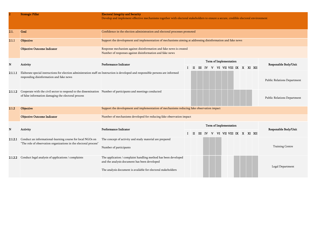|         | <b>Strategic Pillar</b>                                                                                                                                                      | <b>Electoral Integrity and Security</b><br>Develop and implement effective mechanisms together with electoral stakeholders to ensure a secure, credible electoral environment |  |  |  |                                       |  |  |                             |
|---------|------------------------------------------------------------------------------------------------------------------------------------------------------------------------------|-------------------------------------------------------------------------------------------------------------------------------------------------------------------------------|--|--|--|---------------------------------------|--|--|-----------------------------|
| 2.1.    | <b>Goal</b>                                                                                                                                                                  | Confidence in the election administration and electoral processes promoted                                                                                                    |  |  |  |                                       |  |  |                             |
| 2.1.1   | Objective                                                                                                                                                                    | Support the development and implementation of mechanisms aiming at addressing disinformation and fake news                                                                    |  |  |  |                                       |  |  |                             |
|         | <b>Objective Outcome Indicator</b>                                                                                                                                           | Response mechanism against disinformation and fake news is created<br>Number of responses against disinformation and fake news                                                |  |  |  |                                       |  |  |                             |
| N       | Activity                                                                                                                                                                     | Performance Indicator                                                                                                                                                         |  |  |  | <b>Term of Implementation</b>         |  |  | Responsible Body/Unit       |
|         |                                                                                                                                                                              |                                                                                                                                                                               |  |  |  | I II III IV V VI VII VIII IX X XI XII |  |  |                             |
| 2.1.1.1 | Elaborate special instructions for election administration staff on Instruction is developed and responsible persons are informed<br>responding disinformation and fake news |                                                                                                                                                                               |  |  |  |                                       |  |  | Public Relations Department |
| 2.1.1.2 | Cooperate with the civil sector to respond to the dissemination Number of participants and meetings conducted<br>of false information damaging the electoral process         |                                                                                                                                                                               |  |  |  |                                       |  |  | Public Relations Department |
| 2.1.2   | <b>Objective</b>                                                                                                                                                             | Support the development and implementation of mechanisms reducing fake observation impact                                                                                     |  |  |  |                                       |  |  |                             |
|         | <b>Objective Outcome Indicator</b>                                                                                                                                           | Number of mechanisms developed for reducing fake observation impact                                                                                                           |  |  |  |                                       |  |  |                             |
| N       | Activity                                                                                                                                                                     | Performance Indicator                                                                                                                                                         |  |  |  | <b>Term of Implementation</b>         |  |  | Responsible Body/Unit       |
|         |                                                                                                                                                                              |                                                                                                                                                                               |  |  |  | I II III IV V VI VII VIII IX X XI XII |  |  |                             |
|         | 2.1.2.1 Conduct an informational-learning course for local NGOs on<br>"The role of observation organizations in the electoral process"                                       | The concept of activity and study material are prepared                                                                                                                       |  |  |  |                                       |  |  |                             |
|         |                                                                                                                                                                              | Number of participants                                                                                                                                                        |  |  |  |                                       |  |  | <b>Training Centre</b>      |
| 2.1.2.2 | Conduct legal analysis of applications / complaints                                                                                                                          | The application / complaint handling method has been developed<br>and the analysis document has been developed                                                                |  |  |  |                                       |  |  |                             |
|         |                                                                                                                                                                              | The analysis document is available for electoral stakeholders                                                                                                                 |  |  |  |                                       |  |  | Legal Department            |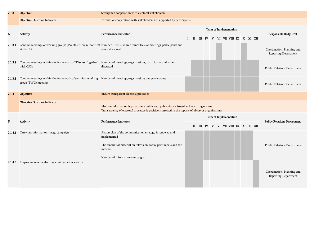| 2.1.3   | Objective                                                                                                                                   | Strengthen cooperation with electoral stakeholders                                                                                                                                                 |        |                                       |  |  |  |                        |                                  |  |                                                    |
|---------|---------------------------------------------------------------------------------------------------------------------------------------------|----------------------------------------------------------------------------------------------------------------------------------------------------------------------------------------------------|--------|---------------------------------------|--|--|--|------------------------|----------------------------------|--|----------------------------------------------------|
|         | <b>Objective Outcome Indicator</b>                                                                                                          | Formats of cooperation with stakeholders are supported by participants                                                                                                                             |        |                                       |  |  |  |                        |                                  |  |                                                    |
| N       | Activity                                                                                                                                    | Performance Indicator                                                                                                                                                                              |        | I II III IV V VI VII VIII IX X XI XII |  |  |  | Term of Implementation |                                  |  | Responsible Body/Unit                              |
| 2.1.3.1 | at the CEC                                                                                                                                  | Conduct meetings of working groups (PWDs, ethnic minorities) Number (PWDs, ethnic minorities) of meetings, participants and<br>issues discussed                                                    |        |                                       |  |  |  |                        |                                  |  | Coordination, Planning and<br>Reporting Department |
|         | 2.1.3.2 Conduct meetings within the framework of "Discuss Together" Number of meetings, organizations, participants and issues<br>with CSOs | discussed                                                                                                                                                                                          |        |                                       |  |  |  |                        |                                  |  | Public Relations Department                        |
| 2.1.3.3 | Conduct meetings within the framework of technical working Number of meetings, organizations and participants<br>group (TWG) meeting        |                                                                                                                                                                                                    |        |                                       |  |  |  |                        |                                  |  | Public Relations Department                        |
| 2.1.4   | Objective                                                                                                                                   | Ensure transparent electoral processes                                                                                                                                                             |        |                                       |  |  |  |                        |                                  |  |                                                    |
|         | <b>Objective Outcome Indicator</b>                                                                                                          | Election information is proactively publicised, public data is issued and reporting ensured<br>Transparency of electoral processes is positively assessed in the reports of observer organizations |        |                                       |  |  |  |                        |                                  |  |                                                    |
|         |                                                                                                                                             |                                                                                                                                                                                                    |        |                                       |  |  |  | Term of Implementation |                                  |  |                                                    |
| N       | Activity                                                                                                                                    | Performance Indicator                                                                                                                                                                              | $I$ II |                                       |  |  |  |                        | III IV V VI VII VIII IX X XI XII |  | <b>Public Relations Department</b>                 |
| 2.1.4.1 | Carry out information-image campaign                                                                                                        | Action plan of the communication strategy is renewed and<br>implemented<br>The amount of material on television, radio, print media and the                                                        |        |                                       |  |  |  |                        |                                  |  | Public Relations Department                        |
|         |                                                                                                                                             | internet<br>Number of information campaigns                                                                                                                                                        |        |                                       |  |  |  |                        |                                  |  |                                                    |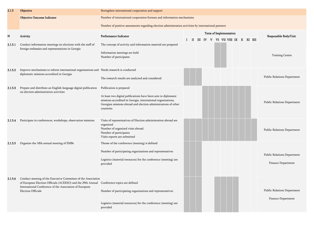| 2.1.5   | Objective                                                                                                                                                                                                                                          | Strengthen international cooperation and support                                                                                                                                                                                         |              |  |  |  |                                                               |  |  |                                                   |
|---------|----------------------------------------------------------------------------------------------------------------------------------------------------------------------------------------------------------------------------------------------------|------------------------------------------------------------------------------------------------------------------------------------------------------------------------------------------------------------------------------------------|--------------|--|--|--|---------------------------------------------------------------|--|--|---------------------------------------------------|
|         | <b>Objective Outcome Indicator</b>                                                                                                                                                                                                                 | Number of international cooperation formats and information mechanisms                                                                                                                                                                   |              |  |  |  |                                                               |  |  |                                                   |
|         |                                                                                                                                                                                                                                                    | Number of positive assessments regarding election administration activities by international partners                                                                                                                                    |              |  |  |  |                                                               |  |  |                                                   |
| N       | Activity                                                                                                                                                                                                                                           | Performance Indicator                                                                                                                                                                                                                    | $\mathbf{I}$ |  |  |  | Term of Implementation<br>II III IV V VI VII VIII IX X XI XII |  |  | Responsible Body/Unit                             |
| 2.1.5.1 | Conduct information meetings on elections with the staff of<br>foreign embassies and representations in Georgia                                                                                                                                    | The concept of activity and information material are prepared<br>Information meetings are held<br>Number of participants                                                                                                                 |              |  |  |  |                                                               |  |  | <b>Training Centre</b>                            |
| 2.1.5.2 | Improve mechanisms to inform international organizations and Needs research is conducted<br>diplomatic missions accredited in Georgia                                                                                                              | The research results are analyzed and considered                                                                                                                                                                                         |              |  |  |  |                                                               |  |  | Public Relations Department                       |
| 2.1.5.3 | Prepare and distribute an English-language digital publication<br>on election administration activities                                                                                                                                            | Publication is prepared<br>At least two digital publications have been sent to diplomatic<br>missions accredited in Georgia, international organizations,<br>Georgian missions abroad and election administrations of other<br>countries |              |  |  |  |                                                               |  |  | Public Relations Department                       |
|         | 2.1.5.4 Participate in conferences, workshops, observation missions                                                                                                                                                                                | Visits of representatives of Election administration abroad are<br>organized<br>Number of organized visits abroad<br>Number of participants<br>Visits reports are submitted                                                              |              |  |  |  |                                                               |  |  | Public Relations Department                       |
| 2.1.5.5 | Organize the 10th annual meeting of EMBs                                                                                                                                                                                                           | Theme of the conference (meeting) is defined<br>Number of participating organizations and representatives<br>Logistics (material resources) for the conference (meeting) are<br>provided                                                 |              |  |  |  |                                                               |  |  | Public Relations Department<br>Finance Department |
| 2.1.5.6 | Conduct meeting of the Executive Committee of the Association<br>of European Election Officials (ACEEEO) and the 29th Annual Conference topics are defined<br>International Conference of the Association of European<br><b>Election Officials</b> | Number of participating organizations and representatives<br>Logistics (material resources) for the conference (meeting) are<br>provided                                                                                                 |              |  |  |  |                                                               |  |  | Public Relations Department<br>Finance Department |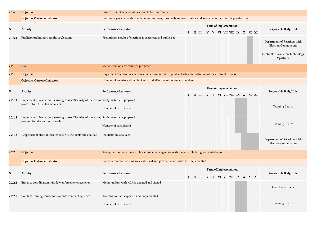| 2.1.6   | Objective                                                                                                                         | Ensure prompt/timely publication of election results                                                                   |              |              |  |  |                                                               |  |  |                                                                                                               |
|---------|-----------------------------------------------------------------------------------------------------------------------------------|------------------------------------------------------------------------------------------------------------------------|--------------|--------------|--|--|---------------------------------------------------------------|--|--|---------------------------------------------------------------------------------------------------------------|
|         | <b>Objective Outcome Indicator</b>                                                                                                | Preliminary results of the elections and summary protocols are made public and available in the shortest possible time |              |              |  |  |                                                               |  |  |                                                                                                               |
| N       | Activity                                                                                                                          | Performance Indicator                                                                                                  | L            |              |  |  | Term of Implementation<br>II III IV V VI VII VIII IX X XI XII |  |  | Responsible Body/Unit                                                                                         |
| 2.1.6.1 | Publicise preliminary results of elections                                                                                        | Preliminary results of elections is processed and publicised                                                           |              |              |  |  |                                                               |  |  | Department of Relations with<br><b>Election Commissions</b><br>Electoral Information Technology<br>Department |
| 2.2.    | Goal                                                                                                                              | Secure election environment promoted                                                                                   |              |              |  |  |                                                               |  |  |                                                                                                               |
| 2.2.1   | Objective                                                                                                                         | Implement effective mechanisms that ensure uninterrupted and safe administration of the electoral process              |              |              |  |  |                                                               |  |  |                                                                                                               |
|         | <b>Objective Outcome Indicator</b>                                                                                                | Number of security-related incidents and effective responses against them                                              |              |              |  |  |                                                               |  |  |                                                                                                               |
| N       | Activity                                                                                                                          | Performance Indicator                                                                                                  | $\mathbf{I}$ |              |  |  | Term of Implementation<br>II III IV V VI VII VIII IX X XI XII |  |  | Responsible Body/Unit                                                                                         |
| 2.2.1.1 | Implement information - learning course "Security of the voting Study material is prepared<br>process" for DEC/PEC members        | Number of participants                                                                                                 |              |              |  |  |                                                               |  |  | <b>Training Centre</b>                                                                                        |
| 2.2.1.2 | Implement information - learning course "Security of the voting Study material is prepared<br>process" for electoral stakeholders | Number of participants                                                                                                 |              |              |  |  |                                                               |  |  | <b>Training Centre</b>                                                                                        |
| 2.2.1.3 | Keep track of election-related security incidents and analyze                                                                     | Incidents are analyzed                                                                                                 |              |              |  |  |                                                               |  |  | Department of Relations with<br><b>Election Commissions</b>                                                   |
| 2.2.2   | <b>Objective</b>                                                                                                                  | Strengthen cooperation with law enforcement agencies with the aim of holding peaceful elections                        |              |              |  |  |                                                               |  |  |                                                                                                               |
|         | <b>Objective Outcome Indicator</b>                                                                                                | Cooperation mechanisms are established and preventive activities are implemented                                       |              |              |  |  |                                                               |  |  |                                                                                                               |
|         |                                                                                                                                   |                                                                                                                        |              |              |  |  | Term of Implementation                                        |  |  |                                                                                                               |
| N       | Activity                                                                                                                          | Performance Indicator                                                                                                  | $\bf{I}$     | $\mathbf{I}$ |  |  | III IV V VI VII VIII IX X XI XII                              |  |  | Responsible Body/Unit                                                                                         |
| 2.2.2.1 | Enhance coordination with law enforcemenet agencies                                                                               | Memorandum with MIA is updated and signed                                                                              |              |              |  |  |                                                               |  |  | Legal Department                                                                                              |
| 2.2.2.2 | Conduct training course for law enforcemenet agencies                                                                             | Training course is updated and implemented<br>Number of participants                                                   |              |              |  |  |                                                               |  |  | <b>Training Centre</b>                                                                                        |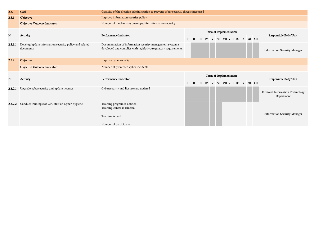| 2.3.    | Goal                                                                | Capacity of the election administration to prevent cyber security threats increased                                            |   |       |           |   |  |                           |  |                                                       |
|---------|---------------------------------------------------------------------|--------------------------------------------------------------------------------------------------------------------------------|---|-------|-----------|---|--|---------------------------|--|-------------------------------------------------------|
| 2.3.1   | Objective                                                           | Improve information security policy                                                                                            |   |       |           |   |  |                           |  |                                                       |
|         | <b>Objective Outcome Indicator</b>                                  | Number of mechanisms developed for information security                                                                        |   |       |           |   |  |                           |  |                                                       |
|         |                                                                     |                                                                                                                                |   |       |           |   |  | Term of Implementation    |  |                                                       |
| N       | <b>Activity</b>                                                     | Performance Indicator                                                                                                          | п | Ш     | IV        |   |  | V VI VII VIII IX X XI XII |  | Responsible Body/Unit                                 |
| 2.3.1.1 | Develop/update information security policy and related<br>documents | Documentation of information security management system is<br>developed and complies with legislative/regulatory requirements. |   |       |           |   |  |                           |  | <b>Information Security Manager</b>                   |
| 2.3.2   | <b>Objective</b>                                                    | Improve cybersecurity                                                                                                          |   |       |           |   |  |                           |  |                                                       |
|         | <b>Objective Outcome Indicator</b>                                  | Number of prevented cyber incidents                                                                                            |   |       |           |   |  |                           |  |                                                       |
| N       | Activity                                                            | Performance Indicator                                                                                                          |   |       |           |   |  | Term of Implementation    |  | Responsible Body/Unit                                 |
|         |                                                                     |                                                                                                                                |   | $\Pi$ | <b>IV</b> | v |  | VI VII VIII IX X XI XII   |  |                                                       |
| 2.3.2.1 | Upgrade cybersecurity and update licenses                           | Cybersecurity and licenses are updated                                                                                         |   |       |           |   |  |                           |  | <b>Electoral Information Technology</b><br>Department |
| 2.3.2.2 | Conduct trainings for CEC staff on Cyber-hygiene                    | Training program is defined<br>Training-centre is selected                                                                     |   |       |           |   |  |                           |  |                                                       |
|         |                                                                     | Training is held                                                                                                               |   |       |           |   |  |                           |  | <b>Information Security Manager</b>                   |
|         |                                                                     |                                                                                                                                |   |       |           |   |  |                           |  |                                                       |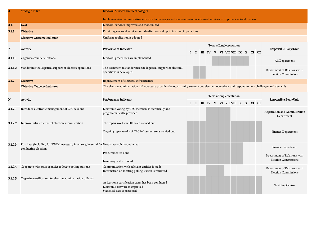|         | <b>Strategic Pillar</b>                                                                                            | <b>Electoral Services and Technologies</b>                                                                                                      |    |     |  |  |                                     |  |  |                                                             |
|---------|--------------------------------------------------------------------------------------------------------------------|-------------------------------------------------------------------------------------------------------------------------------------------------|----|-----|--|--|-------------------------------------|--|--|-------------------------------------------------------------|
|         |                                                                                                                    | Implementation of innovative, effective technologies and modernization of electoral services to improve electoral process                       |    |     |  |  |                                     |  |  |                                                             |
| 3.1.    | Goal                                                                                                               | Electoral services improved and modernized                                                                                                      |    |     |  |  |                                     |  |  |                                                             |
| 3.1.1   | <b>Objective</b>                                                                                                   | Providing electoral services, standardization and optimization of operations                                                                    |    |     |  |  |                                     |  |  |                                                             |
|         | <b>Objective Outcome Indicator</b>                                                                                 | Uniform application is adopted                                                                                                                  |    |     |  |  |                                     |  |  |                                                             |
|         |                                                                                                                    |                                                                                                                                                 |    |     |  |  | Term of Implementation              |  |  |                                                             |
| N       | Activity                                                                                                           | Performance Indicator                                                                                                                           | Т. |     |  |  | II III IV V VI VII VIII IX X XI XII |  |  | Responsible Body/Unit                                       |
| 3.1.1.1 | Organize/conduct elections                                                                                         | Electoral procedures are implemented                                                                                                            |    |     |  |  |                                     |  |  | All Department                                              |
| 3.1.1.2 | Standardize the logistical support of electora operations                                                          | The document to standarduze the logistical support of electoral<br>operations is developed                                                      |    |     |  |  |                                     |  |  | Department of Relations with<br><b>Election Commissions</b> |
| 3.1.2   | <b>Objective</b>                                                                                                   | Improvement of electoral infrastructure                                                                                                         |    |     |  |  |                                     |  |  |                                                             |
|         | <b>Objective Outcome Indicator</b>                                                                                 | The election administration infrastructure provides the opportunity to carry out electoral operations and respond to new challenges and demands |    |     |  |  |                                     |  |  |                                                             |
|         |                                                                                                                    |                                                                                                                                                 |    |     |  |  | Term of Implementation              |  |  |                                                             |
| N       | Activity                                                                                                           | Performance Indicator                                                                                                                           | Ι. | - п |  |  | III IV V VI VII VIII IX X XI XII    |  |  | Responsible Body/Unit                                       |
| 3.1.2.1 | Introduce electronic management of CEC sessions                                                                    | Electronic voting by CEC members is technically and<br>programmatically provided                                                                |    |     |  |  |                                     |  |  | Registration and Administrative<br>Department               |
| 3.1.2.2 | Improve infrastructure of election administration                                                                  | The repair works in DECs are carried out                                                                                                        |    |     |  |  |                                     |  |  |                                                             |
|         |                                                                                                                    | Ongoing repar works of CEC infrastructure is carried out                                                                                        |    |     |  |  |                                     |  |  | Finance Department                                          |
| 3.1.2.3 | Purchase (including for PWDs) necessary inventory/material for Needs research is conducted<br>conducting elections |                                                                                                                                                 |    |     |  |  |                                     |  |  | Finance Department                                          |
|         |                                                                                                                    | Procurement is done                                                                                                                             |    |     |  |  |                                     |  |  | Department of Relations with                                |
|         |                                                                                                                    | Inventory is distributed                                                                                                                        |    |     |  |  |                                     |  |  | <b>Election Commissions</b>                                 |
| 3.1.2.4 | Cooperate with state agencies to locate polling stations                                                           | Communication with relevant entities is made<br>Information on locating polling station is retrieved                                            |    |     |  |  |                                     |  |  | Department of Relations with<br><b>Election Commissions</b> |
| 3.1.2.5 | Organize certification for election administration officials                                                       | At least one certification exam has been conducted<br>Electronic software is improved<br>Statistical data is processed                          |    |     |  |  |                                     |  |  | <b>Training Centre</b>                                      |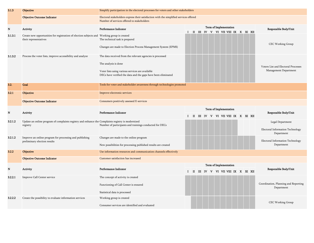| 3.1.3       | <b>Objective</b>                                                                                                     | Simplify participation in the electoral processes for voters and other stakeholders                                                                                                                    |                                                                                                   |                                                                    |
|-------------|----------------------------------------------------------------------------------------------------------------------|--------------------------------------------------------------------------------------------------------------------------------------------------------------------------------------------------------|---------------------------------------------------------------------------------------------------|--------------------------------------------------------------------|
|             | <b>Objective Outcome Indicator</b>                                                                                   | Electoral stakeholders express their satisfaction with the simplified services offered<br>Number of services offered to stakeholders                                                                   |                                                                                                   |                                                                    |
| $\mathbf N$ | Activity                                                                                                             | Performance Indicator                                                                                                                                                                                  | Term of Implementation<br>II III IV V VI VII VIII IX X XI XII<br>$\bf{I}$                         | Responsible Body/Unit                                              |
| 3.1.3.1     | Create new opportunities for registration of election subjects and Working group is created<br>their representatives | The technical task is prepared<br>Changes are made to Election Process Management System (EPMS)                                                                                                        |                                                                                                   | CEC Working Group                                                  |
| 3.1.3.2     | Process the voter lists, improve accessibility and analyze                                                           | The data received from the relevant agencies is processed<br>The analysis is done<br>Voter lists using various services are available<br>DECs have verified the data and the gaps have been eliminated |                                                                                                   | Voters List and Electoral Processes<br>Management Department       |
| 3.2.        | Goal                                                                                                                 | Tools for voter and stakeholder awareness through technologies promoted                                                                                                                                |                                                                                                   |                                                                    |
| 3.2.1       | Objective                                                                                                            | Improve electronic services                                                                                                                                                                            |                                                                                                   |                                                                    |
|             | <b>Objective Outcome Indicator</b>                                                                                   | Consumers positively assessed E-services                                                                                                                                                               |                                                                                                   |                                                                    |
| N           | Activity                                                                                                             | Performance Indicator                                                                                                                                                                                  | <b>Term of Implementation</b><br>III IV V VI VII VIII IX X XI XII<br>$\mathbf{I}$<br>$\mathbf{I}$ | Responsible Body/Unit                                              |
| 3.2.1.2     | Update an online program of complaints registry and enhance the Complaints registry is modernized<br>registry        | Number of participants and trainings conducted for DECs                                                                                                                                                |                                                                                                   | Legal Department<br>Electoral Information Technology<br>Department |
| 3.2.1.2     | Improve an online program for processing and publishing<br>preliminary election results                              | Changes are made to the online program<br>New possibilities for processing published results are created                                                                                               |                                                                                                   | Electoral Information Technology<br>Department                     |
| 3.2.2       | <b>Objective</b>                                                                                                     | Use information resources and communication channels effectively                                                                                                                                       |                                                                                                   |                                                                    |
|             | <b>Objective Outcome Indicator</b>                                                                                   | Customer satisfaction has increased                                                                                                                                                                    |                                                                                                   |                                                                    |
| N           | Activity                                                                                                             | Performance Indicator                                                                                                                                                                                  | Term of Implementation<br>II III IV V VI VII VIII IX X XI XII<br>Ι.                               | Responsible Body/Unit                                              |
| 3.2.2.1     | Improve Call Center service                                                                                          | The concept of activity is created<br>Functioning of Call Center is ensured<br>Statistical data is processed                                                                                           |                                                                                                   | Coordination, Planning and Reporting<br>Department                 |
| 3.2.2.2     | Create the possibility to evaluate information services                                                              | Working group is created<br>Consumer services are identified and evaluated                                                                                                                             |                                                                                                   | CEC Working Group                                                  |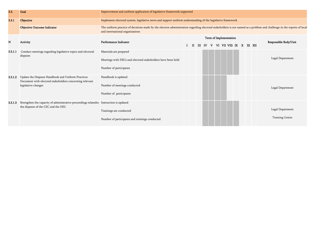| 3.3.    | Goal                                                                                                                           | Improvement and uniform application of legislative framework supported                                                                                                                                    |  |   |  |  |                              |  |  |                        |
|---------|--------------------------------------------------------------------------------------------------------------------------------|-----------------------------------------------------------------------------------------------------------------------------------------------------------------------------------------------------------|--|---|--|--|------------------------------|--|--|------------------------|
| 3.3.1   | <b>Objective</b>                                                                                                               | Implement electoral system, legislative news and support uniform understanding of the legislative framework                                                                                               |  |   |  |  |                              |  |  |                        |
|         | <b>Objective Outcome Indicator</b>                                                                                             | The uniform practice of decisions made by the election administration regarding electoral stakeholders is not named as a problem and challenge in the reports of local<br>and international organizations |  |   |  |  |                              |  |  |                        |
|         |                                                                                                                                |                                                                                                                                                                                                           |  |   |  |  | Term of Implementation       |  |  |                        |
| N       | <b>Activity</b>                                                                                                                | Performance Indicator                                                                                                                                                                                     |  | Ш |  |  | IV V VI VII VIII IX X XI XII |  |  | Responsible Body/Unit  |
| 3.3.1.1 | Conduct meetings regarding legislative topics and electoral<br>disputes                                                        | Materials are prepared                                                                                                                                                                                    |  |   |  |  |                              |  |  |                        |
|         |                                                                                                                                | Meetings with DECs and electoral stakeholders have been held                                                                                                                                              |  |   |  |  |                              |  |  | Legal Department       |
|         |                                                                                                                                | Number of participants                                                                                                                                                                                    |  |   |  |  |                              |  |  |                        |
| 3.3.1.2 | Update the Disputes Handbook and Uniform Practices<br>Document with electoral stakeholders concerning relevant                 | Handbook is updated                                                                                                                                                                                       |  |   |  |  |                              |  |  |                        |
|         | legislative changes                                                                                                            | Number of meetings conducted                                                                                                                                                                              |  |   |  |  |                              |  |  | Legal Department       |
|         |                                                                                                                                | Number of participants                                                                                                                                                                                    |  |   |  |  |                              |  |  |                        |
| 3.3.1.3 | Strengthen the capacity of administrative proceedings related to Instruction is updated<br>the disputes of the CEC and the DEC |                                                                                                                                                                                                           |  |   |  |  |                              |  |  |                        |
|         |                                                                                                                                | Trainings are conducted                                                                                                                                                                                   |  |   |  |  |                              |  |  | Legal Department       |
|         |                                                                                                                                | Number of participants and trainings conducted                                                                                                                                                            |  |   |  |  |                              |  |  | <b>Training Centre</b> |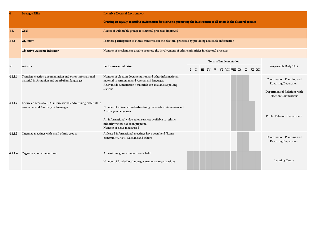|         | <b>Strategic Pillar</b>                                                                                    | <b>Inclusive Electoral Environment</b>                                                                                                                                                |                                                                                                           |  |  |  |  |                        |                       |  |  |  |                                                             |  |
|---------|------------------------------------------------------------------------------------------------------------|---------------------------------------------------------------------------------------------------------------------------------------------------------------------------------------|-----------------------------------------------------------------------------------------------------------|--|--|--|--|------------------------|-----------------------|--|--|--|-------------------------------------------------------------|--|
|         |                                                                                                            | Creating an equally accessible environment for everyone, promoting the involvement of all actors in the electoral process                                                             |                                                                                                           |  |  |  |  |                        |                       |  |  |  |                                                             |  |
| 4.1.    | <b>Goal</b>                                                                                                | Access of vulnerable groups to electoral processes improved                                                                                                                           |                                                                                                           |  |  |  |  |                        |                       |  |  |  |                                                             |  |
| 4.1.1   | Objective                                                                                                  |                                                                                                                                                                                       | Promote participation of ethnic minorities in the electoral processes by providing accessible information |  |  |  |  |                        |                       |  |  |  |                                                             |  |
|         | <b>Objective Outcome Indicator</b>                                                                         | Number of mechanisms used to promote the involvement of ethnic minorities in electoral processes                                                                                      |                                                                                                           |  |  |  |  |                        |                       |  |  |  |                                                             |  |
|         |                                                                                                            |                                                                                                                                                                                       |                                                                                                           |  |  |  |  | Term of Implementation |                       |  |  |  |                                                             |  |
| N       | Activity                                                                                                   | Performance Indicator                                                                                                                                                                 | III IV V VI VII VIII IX X XI XII<br>$\mathbf{H}$                                                          |  |  |  |  |                        | Responsible Body/Unit |  |  |  |                                                             |  |
| 4.1.1.1 | Translate election documentation and other informational<br>material in Armenian and Azerbaijani languages | Number of election documentation and other informational<br>material in Armenian and Azerbaijani languages<br>Relevant documentation / materials are available at polling<br>stations |                                                                                                           |  |  |  |  |                        |                       |  |  |  | Coordination, Planning and<br><b>Reporting Department</b>   |  |
|         |                                                                                                            |                                                                                                                                                                                       |                                                                                                           |  |  |  |  |                        |                       |  |  |  | Department of Relations with<br><b>Election Commissions</b> |  |
| 4.1.1.2 | Ensure an access to CEC informational/advertising materials in                                             |                                                                                                                                                                                       |                                                                                                           |  |  |  |  |                        |                       |  |  |  |                                                             |  |
|         | Armenian and Azerbaijani languages                                                                         | Number of informational/advertising materials in Armenian and<br>Azerbaijani languages                                                                                                |                                                                                                           |  |  |  |  |                        |                       |  |  |  | Public Relations Department                                 |  |
|         |                                                                                                            | An informational video ad on services available to ethnic<br>minority voters has been prepared<br>Number of news media used                                                           |                                                                                                           |  |  |  |  |                        |                       |  |  |  |                                                             |  |
| 4.1.1.3 | Organize meetings with small ethnic groups                                                                 | At least 3 informational meetings have been held (Roma<br>community, Kists, Osetians and others).                                                                                     |                                                                                                           |  |  |  |  |                        |                       |  |  |  | Coordination, Planning and<br><b>Reporting Department</b>   |  |
| 4.1.1.4 | Organize grant competition                                                                                 | At least one grant competition is held<br>Number of funded local non-governmental organizations                                                                                       |                                                                                                           |  |  |  |  |                        |                       |  |  |  | <b>Training Centre</b>                                      |  |
|         |                                                                                                            |                                                                                                                                                                                       |                                                                                                           |  |  |  |  |                        |                       |  |  |  |                                                             |  |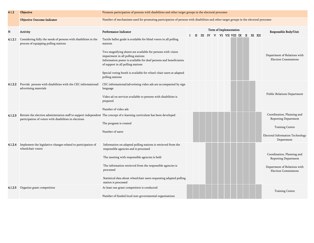| 4.1.2   | <b>Objective</b>                                                                                                                                                                   | Promote participation of persons with disabilities and other target groups in the electoral processes                                                                                                                                                                                                                                                                                    |                                                                                                                                       |  |  |  |  |  |  |                                                                        |  |  |  |  |                                                                                                                                |
|---------|------------------------------------------------------------------------------------------------------------------------------------------------------------------------------------|------------------------------------------------------------------------------------------------------------------------------------------------------------------------------------------------------------------------------------------------------------------------------------------------------------------------------------------------------------------------------------------|---------------------------------------------------------------------------------------------------------------------------------------|--|--|--|--|--|--|------------------------------------------------------------------------|--|--|--|--|--------------------------------------------------------------------------------------------------------------------------------|
|         | <b>Objective Outcome Indicator</b>                                                                                                                                                 |                                                                                                                                                                                                                                                                                                                                                                                          | Number of mechanisms used for promoting participation of persons with disabilities and other target groups in the electoral processes |  |  |  |  |  |  |                                                                        |  |  |  |  |                                                                                                                                |
| N       | Activity                                                                                                                                                                           | Performance Indicator                                                                                                                                                                                                                                                                                                                                                                    |                                                                                                                                       |  |  |  |  |  |  | <b>Term of Implementation</b><br>I II III IV V VI VII VIII IX X XI XII |  |  |  |  | Responsible Body/Unit                                                                                                          |
| 4.1.2.1 | Considering fully the needs of persons with disabilities in the<br>process of equipping polling stations                                                                           | Tactile ballot guide is available for blind voters in all polling<br>stations<br>Two magnifying sheets are available for persons with vision<br>impairment in all polling stations<br>Information poster is available for deaf persons and beneficiaries<br>of support in all polling stations<br>Special voting booth is available for wheel-chair users at adapted<br>polling stations |                                                                                                                                       |  |  |  |  |  |  |                                                                        |  |  |  |  | Department of Relations with<br><b>Election Commissions</b>                                                                    |
| 4.1.2.2 | Provide persons with disabilities with the CEC informational/<br>advertising materials                                                                                             | CEC informational/advertising video ads are accompanied by sign<br>language<br>Video ad on services available to persons with disabilities is<br>prepared<br>Number of video ads                                                                                                                                                                                                         |                                                                                                                                       |  |  |  |  |  |  |                                                                        |  |  |  |  | <b>Public Relations Department</b>                                                                                             |
| 4.1.2.3 | Retrain the election administration staff to support independent The concept of e-learning curriculum has been developed<br>participation of voters with disabilities in elections | The program is created<br>Number of users                                                                                                                                                                                                                                                                                                                                                |                                                                                                                                       |  |  |  |  |  |  |                                                                        |  |  |  |  | Coordination, Planning and<br>Reporting Department<br><b>Training Centre</b><br>Electoral Information Technology<br>Department |
|         | 4.1.2.4 Implement the legislative changes related to participation of<br>wheelchair voters                                                                                         | Information on adapted polling stations is retrieved from the<br>responsible agencies and is processed<br>The meeting with responsible agencies is held<br>The information retrieved from the responsible agencies is<br>processed<br>Statistical data about wheelchair users requesting adapted polling<br>station is processed                                                         |                                                                                                                                       |  |  |  |  |  |  |                                                                        |  |  |  |  | Coordination, Planning and<br><b>Reporting Department</b><br>Department of Relations with<br><b>Election Commissions</b>       |
| 4.1.2.5 | Organize grant competition                                                                                                                                                         | At least one grant competition is conducted<br>Number of funded local non-governmental organizations                                                                                                                                                                                                                                                                                     |                                                                                                                                       |  |  |  |  |  |  |                                                                        |  |  |  |  | <b>Training Centre</b>                                                                                                         |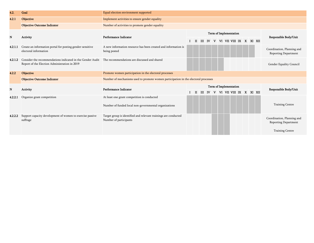| 4.2.    | Goal                                                                                                        | Equal election environment supported                                                      |  |                        |  |          |  |                        |  |  |  |  |  |  |                           |                                                           |  |  |  |  |
|---------|-------------------------------------------------------------------------------------------------------------|-------------------------------------------------------------------------------------------|--|------------------------|--|----------|--|------------------------|--|--|--|--|--|--|---------------------------|-----------------------------------------------------------|--|--|--|--|
| 4.2.1   | Objective                                                                                                   | Implement activities to ensure gender equality                                            |  |                        |  |          |  |                        |  |  |  |  |  |  |                           |                                                           |  |  |  |  |
|         | <b>Objective Outcome Indicator</b>                                                                          | Number of activities to promote gender equality                                           |  |                        |  |          |  |                        |  |  |  |  |  |  |                           |                                                           |  |  |  |  |
|         |                                                                                                             | Performance Indicator                                                                     |  |                        |  |          |  | Term of Implementation |  |  |  |  |  |  |                           |                                                           |  |  |  |  |
| N       | Activity                                                                                                    |                                                                                           |  | $\blacksquare$         |  | $III$ IV |  | V                      |  |  |  |  |  |  | VI VII VIII IX XXI XII    | Responsible Body/Unit                                     |  |  |  |  |
| 4.2.1.1 | Create an information portal for posting gender-sensitive<br>electoral information                          | A new information resource has been created and information is<br>being posted            |  |                        |  |          |  |                        |  |  |  |  |  |  |                           | Coordination, Planning and<br>Reporting Department        |  |  |  |  |
| 4.2.1.2 | Consider the recommendations indicated in the Gender Audit<br>Report of the Election Administration in 2019 | The recommendations are discussed and shared                                              |  |                        |  |          |  |                        |  |  |  |  |  |  |                           | Gender Equality Council                                   |  |  |  |  |
| 4.2.2   | <b>Objective</b>                                                                                            | Promote women participation in the electoral processes                                    |  |                        |  |          |  |                        |  |  |  |  |  |  |                           |                                                           |  |  |  |  |
|         | <b>Objective Outcome Indicator</b>                                                                          | Number of mechanisms used to promote women participation in the electoral processes       |  |                        |  |          |  |                        |  |  |  |  |  |  |                           |                                                           |  |  |  |  |
| N       | Activity                                                                                                    | Performance Indicator                                                                     |  | Term of Implementation |  |          |  |                        |  |  |  |  |  |  |                           | Responsible Body/Unit                                     |  |  |  |  |
|         |                                                                                                             |                                                                                           |  | $\mathbf{H}$           |  | $III$ IV |  |                        |  |  |  |  |  |  | V VI VII VIII IX X XI XII |                                                           |  |  |  |  |
| 4.2.2.1 | Organize grant competition                                                                                  | At least one grant competition is conducted                                               |  |                        |  |          |  |                        |  |  |  |  |  |  |                           |                                                           |  |  |  |  |
|         |                                                                                                             | Number of funded local non-governmental organizations                                     |  |                        |  |          |  |                        |  |  |  |  |  |  |                           | <b>Training Centre</b>                                    |  |  |  |  |
| 4.2.2.2 | Support capacity development of women to exercise passive<br>suffrage                                       | Target group is identified and relevant trainings are conducted<br>Number of participants |  |                        |  |          |  |                        |  |  |  |  |  |  |                           | Coordination, Planning and<br><b>Reporting Department</b> |  |  |  |  |
|         |                                                                                                             |                                                                                           |  |                        |  |          |  |                        |  |  |  |  |  |  |                           | <b>Training Centre</b>                                    |  |  |  |  |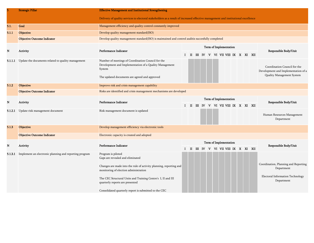|         | <b>Strategic Pillar</b>                                | <b>Effective Management and Institutional Strengthening</b>                                                                                                                                                                                                                                                                       |              |              |  |  |  |  |                        |                        |                                       |  |  |  |                                                                                                      |  |
|---------|--------------------------------------------------------|-----------------------------------------------------------------------------------------------------------------------------------------------------------------------------------------------------------------------------------------------------------------------------------------------------------------------------------|--------------|--------------|--|--|--|--|------------------------|------------------------|---------------------------------------|--|--|--|------------------------------------------------------------------------------------------------------|--|
|         |                                                        | Delivery of quality services to electoral stakeholders as a result of increased effective management and institutional excellence                                                                                                                                                                                                 |              |              |  |  |  |  |                        |                        |                                       |  |  |  |                                                                                                      |  |
| 5.1.    | <b>Goal</b>                                            | Management efficiency and quality control constantly improved                                                                                                                                                                                                                                                                     |              |              |  |  |  |  |                        |                        |                                       |  |  |  |                                                                                                      |  |
| 5.1.1   | Objective                                              | Develop quality management standard(ISO)                                                                                                                                                                                                                                                                                          |              |              |  |  |  |  |                        |                        |                                       |  |  |  |                                                                                                      |  |
|         | <b>Objective Outcome Indicator</b>                     | Develop quality management standard(ISO) is maintained and control auditis succesfully completed                                                                                                                                                                                                                                  |              |              |  |  |  |  |                        |                        |                                       |  |  |  |                                                                                                      |  |
|         |                                                        |                                                                                                                                                                                                                                                                                                                                   |              |              |  |  |  |  | Term of Implementation |                        |                                       |  |  |  |                                                                                                      |  |
| N       | Activity                                               | Performance Indicator                                                                                                                                                                                                                                                                                                             |              |              |  |  |  |  |                        |                        | I II III IV V VI VII VIII IX X XI XII |  |  |  | Responsible Body/Unit                                                                                |  |
| 5.1.1.1 | Update the documents related to quality management     | Number of meetings of Coordination Council for the<br>Development and Implementation of a Quality Management<br>System<br>The updated documents are agreed and approved                                                                                                                                                           |              |              |  |  |  |  |                        |                        |                                       |  |  |  | Coordination Council for the<br>Development and Implementation of a<br>Quality Management System     |  |
| 5.1.2   | Objective                                              | Improve risk and crisis management capability                                                                                                                                                                                                                                                                                     |              |              |  |  |  |  |                        |                        |                                       |  |  |  |                                                                                                      |  |
|         | <b>Objective Outcome Indicator</b>                     | Risks are identified and crisis management mechanisms are developed                                                                                                                                                                                                                                                               |              |              |  |  |  |  |                        |                        |                                       |  |  |  |                                                                                                      |  |
| N       | Activity                                               | Performance Indicator                                                                                                                                                                                                                                                                                                             | $\mathbf{I}$ | $\mathbf{I}$ |  |  |  |  |                        | Term of Implementation | III IV V VI VII VIII IX X XI XII      |  |  |  | Responsible Body/Unit                                                                                |  |
| 5.1.2.1 | Update risk management document                        | Risk management document is updated                                                                                                                                                                                                                                                                                               |              |              |  |  |  |  |                        |                        |                                       |  |  |  | Human Resources Management<br>Department                                                             |  |
| 5.1.3   | <b>Objective</b>                                       | Develop management efficiency via electronic tools                                                                                                                                                                                                                                                                                |              |              |  |  |  |  |                        |                        |                                       |  |  |  |                                                                                                      |  |
|         | <b>Objective Outcome Indicator</b>                     | Electronic capacity is created and adopted                                                                                                                                                                                                                                                                                        |              |              |  |  |  |  |                        |                        |                                       |  |  |  |                                                                                                      |  |
| N       | Activity                                               | Performance Indicator                                                                                                                                                                                                                                                                                                             |              | п            |  |  |  |  |                        | Term of Implementation | III IV V VI VII VIII IX X XI XII      |  |  |  | Responsible Body/Unit                                                                                |  |
| 5.1.3.1 | Implement an electronic planning and reporting program | Program is piloted<br>Gaps are revealed and eliminated<br>Changes are made into the rule of activity planning, reporting and<br>monitoring of election administration<br>The CEC Structural Units and Training Centre's I, II and III<br>quarterly reports are presented<br>Consolidated quarterly report is submitted to the CEC |              |              |  |  |  |  |                        |                        |                                       |  |  |  | Coordination, Planning and Reporting<br>Department<br>Electoral Information Technology<br>Department |  |